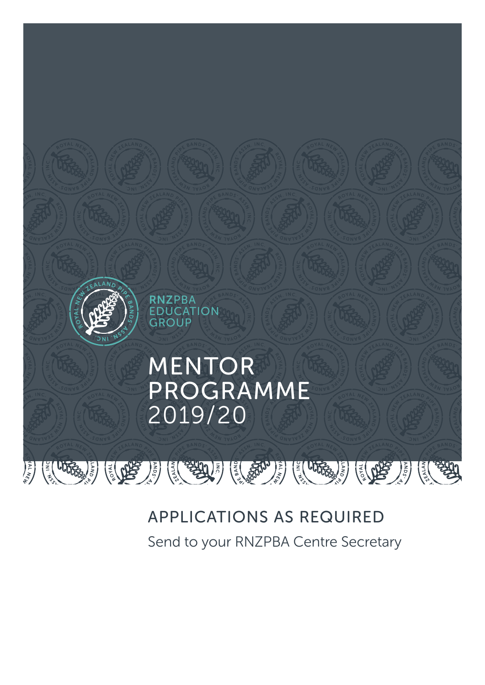

## APPLICATIONS AS REQUIRED

Send to your RNZPBA Centre Secretary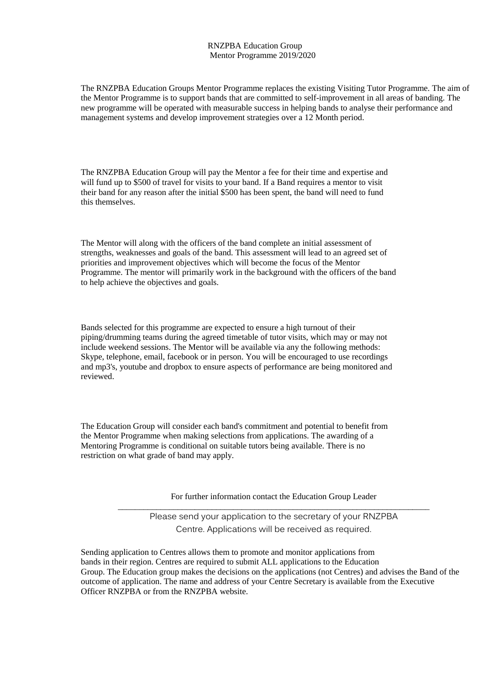## RNZPBA Education Group Mentor Programme 2019/2020

The RNZPBA Education Groups Mentor Programme replaces the existing Visiting Tutor Programme. The aim of the Mentor Programme is to support bands that are committed to self-improvement in all areas of banding. The new programme will be operated with measurable success in helping bands to analyse their performance and management systems and develop improvement strategies over a 12 Month period.

The RNZPBA Education Group will pay the Mentor a fee for their time and expertise and will fund up to \$500 of travel for visits to your band. If a Band requires a mentor to visit their band for any reason after the initial \$500 has been spent, the band will need to fund this themselves.

The Mentor will along with the officers of the band complete an initial assessment of strengths, weaknesses and goals of the band. This assessment will lead to an agreed set of priorities and improvement objectives which will become the focus of the Mentor Programme. The mentor will primarily work in the background with the officers of the band to help achieve the objectives and goals.

Bands selected for this programme are expected to ensure a high turnout of their piping/drumming teams during the agreed timetable of tutor visits, which may or may not include weekend sessions. The Mentor will be available via any the following methods: Skype, telephone, email, facebook or in person. You will be encouraged to use recordings and mp3's, youtube and dropbox to ensure aspects of performance are being monitored and reviewed.

The Education Group will consider each band's commitment and potential to benefit from the Mentor Programme when making selections from applications. The awarding of a Mentoring Programme is conditional on suitable tutors being available. There is no restriction on what grade of band may apply.

> For further information contact the Education Group Leader  $\_$  , and the set of the set of the set of the set of the set of the set of the set of the set of the set of the set of the set of the set of the set of the set of the set of the set of the set of the set of the set of th

Please send your application to the secretary of your RNZPBA Centre. Applications will be received as required.

Sending application to Centres allows them to promote and monitor applications from bands in their region. Centres are required to submit ALL applications to the Education Group. The Education group makes the decisions on the applications (not Centres) and advises the Band of the outcome of application. The name and address of your Centre Secretary is available from the Executive Officer RNZPBA or from the RNZPBA website.